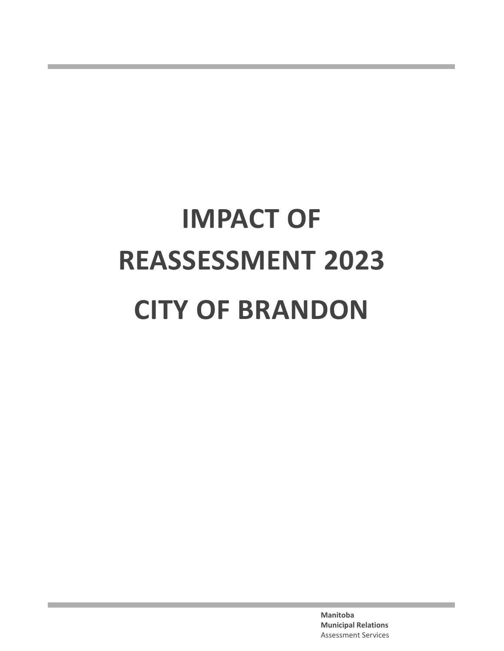# **IMPACT OF REASSESSMENT 2023 CITY OF BRANDON**

**Manitoba Municipal Relations**  Assessment Services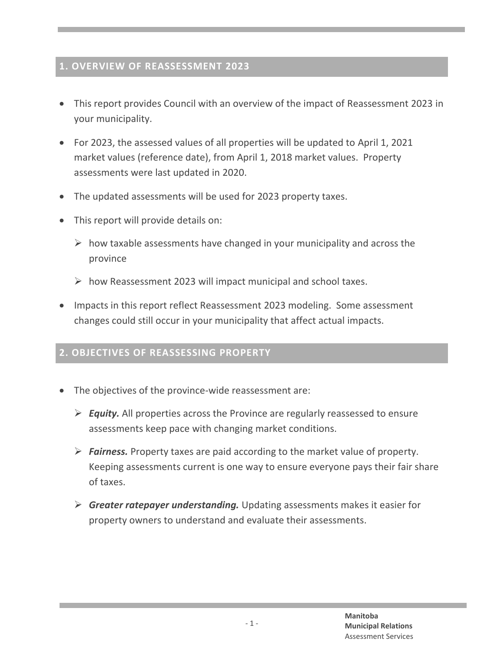#### **1. OVERVIEW OF REASSESSMENT 2023**

- · This report provides Council with an overview of the impact of Reassessment 2023 in your municipality.
- · For 2023, the assessed values of all properties will be updated to April 1, 2021 market values (reference date), from April 1, 2018 market values. Property assessments were last updated in 2020.
- The updated assessments will be used for 2023 property taxes.
- · This report will provide details on:
	- $\triangleright$  how taxable assessments have changed in your municipality and across the province
	- $\triangleright$  how Reassessment 2023 will impact municipal and school taxes.
- · Impacts in this report reflect Reassessment 2023 modeling. Some assessment changes could still occur in your municipality that affect actual impacts.

### **2. OBJECTIVES OF REASSESSING PROPERTY**

- The objectives of the province-wide reassessment are:
	- ÿ *Equity.* All properties across the Province are regularly reassessed to ensure assessments keep pace with changing market conditions.
	- $\triangleright$  **Fairness.** Property taxes are paid according to the market value of property. Keeping assessments current is one way to ensure everyone pays their fair share of taxes.
	- ÿ *Greater ratepayer understanding.* Updating assessments makes it easier for property owners to understand and evaluate their assessments.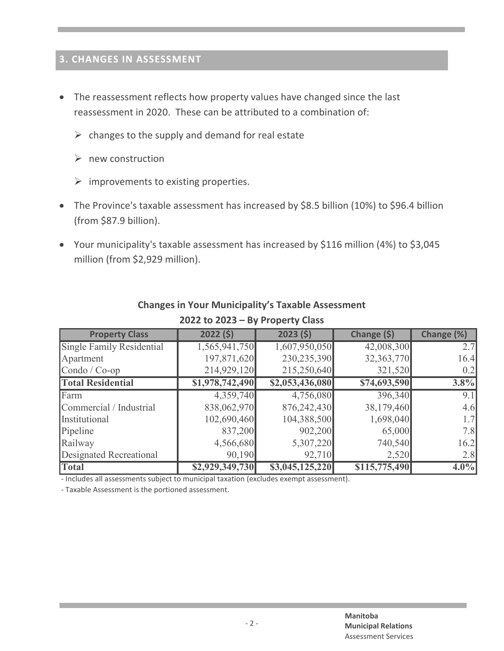# **3. CHANGES IN ASSESSMENT**

- · The reassessment reflects how property values have changed since the last reassessment in 2020. These can be attributed to a combination of:
	- $\triangleright$  changes to the supply and demand for real estate
	- $\triangleright$  new construction
	- $\triangleright$  improvements to existing properties.
- The Province's taxable assessment has increased by \$8.5 billion (10%) to \$96.4 billion (from \$87.9 billion).
- · Your municipality's taxable assessment has increased by \$116 million (4%) to \$3,045 million (from \$2,929 million).

| <b>Property Class</b>       | 2022(5)         | 2023(5)         | Change (\$)   | Change (%)       |
|-----------------------------|-----------------|-----------------|---------------|------------------|
| Single Family Residential   | 1,565,941,750   | 1,607,950,050   | 42,008,300    | 2.7              |
| Apartment                   | 197,871,620     | 230,235,390     | 32,363,770    | 16.4             |
| $\text{Condo}/\text{Co-op}$ | 214,929,120     | 215,250,640     | 321,520       | 0.2              |
| <b>Total Residential</b>    | \$1,978,742,490 | \$2,053,436,080 | \$74,693,590  | $3.8\%$          |
| Farm                        | 4,359,740       | 4,756,080       | 396,340       | $\overline{9.1}$ |
| Commercial / Industrial     | 838,062,970     | 876,242,430     | 38,179,460    | 4.6              |
| Institutional               | 102,690,460     | 104,388,500     | 1,698,040     | 1.7              |
| Pipeline                    | 837,200         | 902,200         | 65,000        | 7.8              |
| Railway                     | 4,566,680       | 5,307,220       | 740,540       | 16.2             |
| Designated Recreational     | 90,190          | 92,710          | 2,520         | 2.8              |
| <b>Total</b>                | \$2,929,349,730 | \$3,045,125,220 | \$115,775,490 | $4.0\%$          |

#### **Changes in Your Municipality's Taxable Assessment 2022 to 2023 – By Property Class**

- Includes all assessments subject to municipal taxation (excludes exempt assessment).

- Taxable Assessment is the portioned assessment.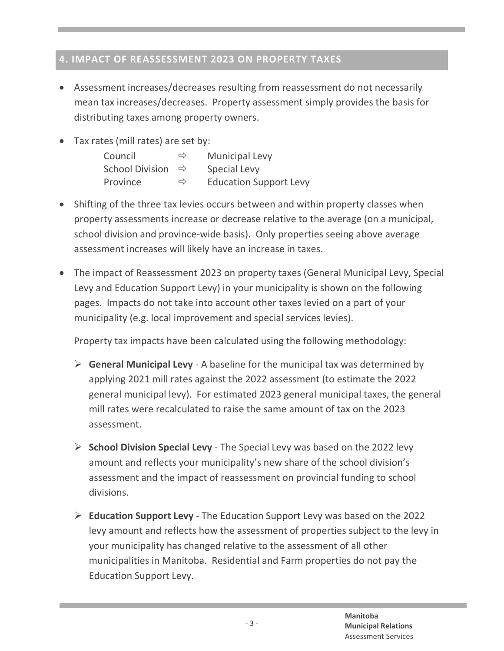# **4. IMPACT OF REASSESSMENT 2023 ON PROPERTY TAXES**

- · Assessment increases/decreases resulting from reassessment do not necessarily mean tax increases/decreases. Property assessment simply provides the basis for distributing taxes among property owners.
- Tax rates (mill rates) are set by:

| Council                | ⇨             | <b>Municipal Levy</b>         |
|------------------------|---------------|-------------------------------|
| <b>School Division</b> | $\Rightarrow$ | Special Levy                  |
| Province               | $\Rightarrow$ | <b>Education Support Levy</b> |

- Shifting of the three tax levies occurs between and within property classes when property assessments increase or decrease relative to the average (on a municipal, school division and province-wide basis). Only properties seeing above average assessment increases will likely have an increase in taxes.
- · The impact of Reassessment 2023 on property taxes (General Municipal Levy, Special Levy and Education Support Levy) in your municipality is shown on the following pages. Impacts do not take into account other taxes levied on a part of your municipality (e.g. local improvement and special services levies).

Property tax impacts have been calculated using the following methodology:

- $\triangleright$  **General Municipal Levy** A baseline for the municipal tax was determined by applying 2021 mill rates against the 2022 assessment (to estimate the 2022 general municipal levy). For estimated 2023 general municipal taxes, the general mill rates were recalculated to raise the same amount of tax on the 2023 assessment.
- **► School Division Special Levy** The Special Levy was based on the 2022 levy amount and reflects your municipality's new share of the school division's assessment and the impact of reassessment on provincial funding to school divisions.
- ÿ **Education Support Levy** The Education Support Levy was based on the 2022 levy amount and reflects how the assessment of properties subject to the levy in your municipality has changed relative to the assessment of all other municipalities in Manitoba. Residential and Farm properties do not pay the Education Support Levy.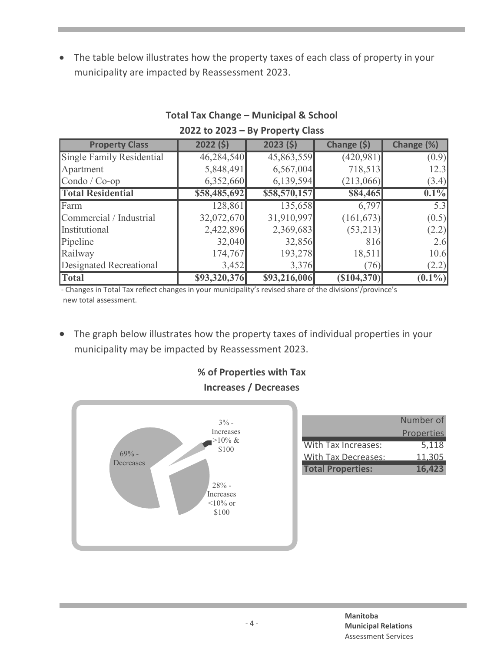· The table below illustrates how the property taxes of each class of property in your municipality are impacted by Reassessment 2023.

| <b>Property Class</b>       | 2022(5)      | 2023(5)      | Change (\$) | Change (%) |
|-----------------------------|--------------|--------------|-------------|------------|
| Single Family Residential   | 46,284,540   | 45,863,559   | (420, 981)  | (0.9)      |
| Apartment                   | 5,848,491    | 6,567,004    | 718,513     | 12.3       |
| $\text{Condo}/\text{Co-op}$ | 6,352,660    | 6,139,594    | (213,066)   | (3.4)      |
| <b>Total Residential</b>    | \$58,485,692 | \$58,570,157 | \$84,465    | $0.1\%$    |
| Farm                        | 128,861      | 135,658      | 6,797       | 5.3        |
| Commercial / Industrial     | 32,072,670   | 31,910,997   | (161, 673)  | (0.5)      |
| Institutional               | 2,422,896    | 2,369,683    | (53,213)    | (2.2)      |
| Pipeline                    | 32,040       | 32,856       | 816         | 2.6        |
| Railway                     | 174,767      | 193,278      | 18,511      | 10.6       |
| Designated Recreational     | 3,452        | 3,376        | (76)        | (2.2)      |
| Total                       | \$93,320,376 | \$93,216,006 | (S104, 370) | $(0.1\%)$  |

### **Total Tax Change – Municipal & School 2022 to 2023 – By Property Class**

- Changes in Total Tax reflect changes in your municipality's revised share of the divisions'/province's new total assessment.

· The graph below illustrates how the property taxes of individual properties in your municipality may be impacted by Reassessment 2023.

## **% of Properties with Tax Increases / Decreases**



|                          | Number of         |
|--------------------------|-------------------|
|                          | <b>Properties</b> |
| With Tax Increases:      | 5,118             |
| With Tax Decreases:      | 11.305            |
| <b>Total Properties:</b> | 16,423            |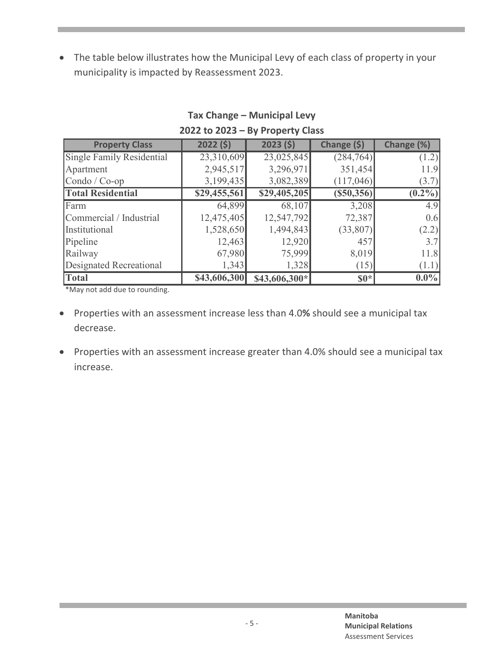· The table below illustrates how the Municipal Levy of each class of property in your municipality is impacted by Reassessment 2023.

| <b>Property Class</b>            | 2022(5)      | 2023(5)        | Change (\$)       | Change (%) |
|----------------------------------|--------------|----------------|-------------------|------------|
| <b>Single Family Residential</b> | 23,310,609   | 23,025,845     | (284, 764)        | (1.2)      |
| Apartment                        | 2,945,517    | 3,296,971      | 351,454           | 11.9       |
| Condo / $Co$ -op                 | 3,199,435    | 3,082,389      | (117,046)         | (3.7)      |
| <b>Total Residential</b>         | \$29,455,561 | \$29,405,205   | $($ \$50,356) $ $ | $(0.2\%)$  |
| Farm                             | 64,899       | 68,107         | 3,208             | 4.9        |
| Commercial / Industrial          | 12,475,405   | 12,547,792     | 72,387            | 0.6        |
| Institutional                    | 1,528,650    | 1,494,843      | (33,807)          | (2.2)      |
| Pipeline                         | 12,463       | 12,920         | 457               | 3.7        |
| Railway                          | 67,980       | 75,999         | 8,019             | 11.8       |
| <b>Designated Recreational</b>   | 1,343        | 1,328          | (15)              | (1.1)      |
| <b>Total</b>                     | \$43,606,300 | $$43,606,300*$ | $$0*$             | $0.0\%$    |

#### **Tax Change – Municipal Levy 2022 to 2023 – By Property Class**

\*May not add due to rounding.

- · Properties with an assessment increase less than 4.0**%** should see a municipal tax decrease.
- · Properties with an assessment increase greater than 4.0% should see a municipal tax increase.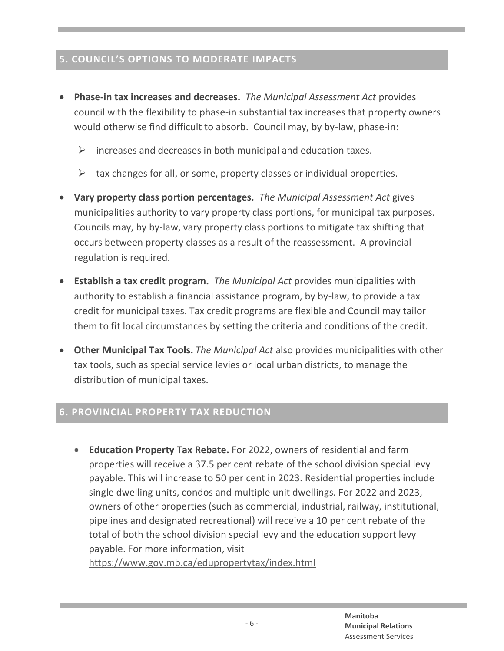# **5. COUNCIL'S OPTIONS TO MODERATE IMPACTS**

- · **Phase-in tax increases and decreases.** *The Municipal Assessment Act* provides council with the flexibility to phase-in substantial tax increases that property owners would otherwise find difficult to absorb. Council may, by by-law, phase-in:
	- $\triangleright$  increases and decreases in both municipal and education taxes.
	- $\triangleright$  tax changes for all, or some, property classes or individual properties.
- · **Vary property class portion percentages.** *The Municipal Assessment Act* gives municipalities authority to vary property class portions, for municipal tax purposes. Councils may, by by-law, vary property class portions to mitigate tax shifting that occurs between property classes as a result of the reassessment. A provincial regulation is required.
- · **Establish a tax credit program.** *The Municipal Act* provides municipalities with authority to establish a financial assistance program, by by-law, to provide a tax credit for municipal taxes. Tax credit programs are flexible and Council may tailor them to fit local circumstances by setting the criteria and conditions of the credit.
- · **Other Municipal Tax Tools.** *The Municipal Act* also provides municipalities with other tax tools, such as special service levies or local urban districts, to manage the distribution of municipal taxes.

## **6. PROVINCIAL PROPERTY TAX REDUCTION**

· **Education Property Tax Rebate.** For 2022, owners of residential and farm properties will receive a 37.5 per cent rebate of the school division special levy payable. This will increase to 50 per cent in 2023. Residential properties include single dwelling units, condos and multiple unit dwellings. For 2022 and 2023, owners of other properties (such as commercial, industrial, railway, institutional, pipelines and designated recreational) will receive a 10 per cent rebate of the total of both the school division special levy and the education support levy payable. For more information, visit

https://www.gov.mb.ca/edupropertytax/index.html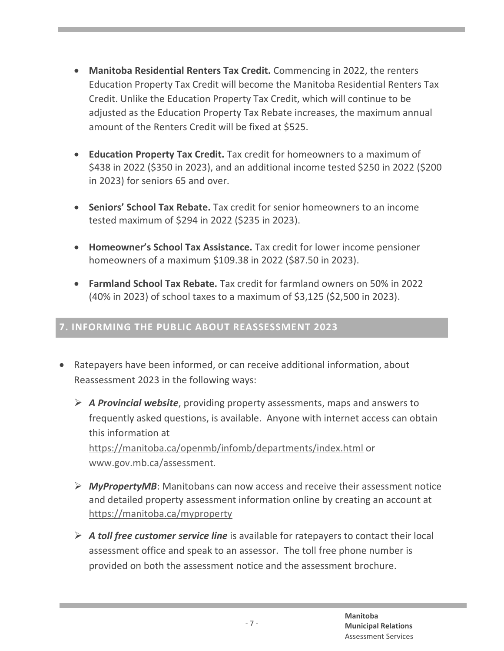- · **Manitoba Residential Renters Tax Credit.** Commencing in 2022, the renters Education Property Tax Credit will become the Manitoba Residential Renters Tax Credit. Unlike the Education Property Tax Credit, which will continue to be adjusted as the Education Property Tax Rebate increases, the maximum annual amount of the Renters Credit will be fixed at \$525.
- · **Education Property Tax Credit.** Tax credit for homeowners to a maximum of \$438 in 2022 (\$350 in 2023), and an additional income tested \$250 in 2022 (\$200 in 2023) for seniors 65 and over.
- · **Seniors' School Tax Rebate.** Tax credit for senior homeowners to an income tested maximum of \$294 in 2022 (\$235 in 2023).
- · **Homeowner's School Tax Assistance.** Tax credit for lower income pensioner homeowners of a maximum \$109.38 in 2022 (\$87.50 in 2023).
- · **Farmland School Tax Rebate.** Tax credit for farmland owners on 50% in 2022 (40% in 2023) of school taxes to a maximum of \$3,125 (\$2,500 in 2023).

## **7. INFORMING THE PUBLIC ABOUT REASSESSMENT 2023**

- · Ratepayers have been informed, or can receive additional information, about Reassessment 2023 in the following ways:
	- ÿ *A Provincial website*, providing property assessments, maps and answers to frequently asked questions, is available. Anyone with internet access can obtain this information at https://manitoba.ca/openmb/infomb/departments/index.html or www.gov.mb.ca/assessment.
	- ÿ *MyPropertyMB*: Manitobans can now access and receive their assessment notice and detailed property assessment information online by creating an account at https://manitoba.ca/myproperty
	- ÿ *A toll free customer service line* is available for ratepayers to contact their local assessment office and speak to an assessor. The toll free phone number is provided on both the assessment notice and the assessment brochure.